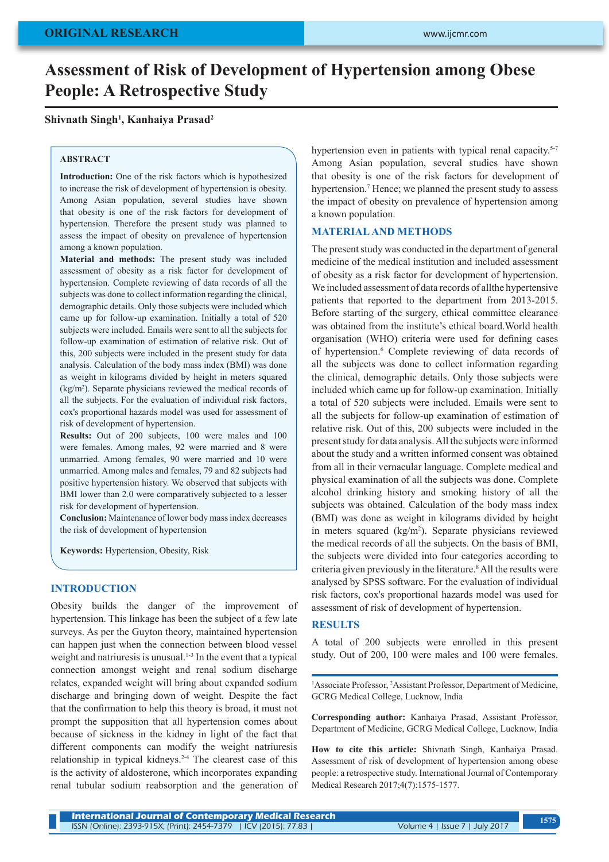# **Assessment of Risk of Development of Hypertension among Obese People: A Retrospective Study**

## **Shivnath Singh1 , Kanhaiya Prasad2**

#### **ABSTRACT**

**Introduction:** One of the risk factors which is hypothesized to increase the risk of development of hypertension is obesity. Among Asian population, several studies have shown that obesity is one of the risk factors for development of hypertension. Therefore the present study was planned to assess the impact of obesity on prevalence of hypertension among a known population.

**Material and methods:** The present study was included assessment of obesity as a risk factor for development of hypertension. Complete reviewing of data records of all the subjects was done to collect information regarding the clinical, demographic details. Only those subjects were included which came up for follow-up examination. Initially a total of 520 subjects were included. Emails were sent to all the subjects for follow-up examination of estimation of relative risk. Out of this, 200 subjects were included in the present study for data analysis. Calculation of the body mass index (BMI) was done as weight in kilograms divided by height in meters squared  $(kg/m<sup>2</sup>)$ . Separate physicians reviewed the medical records of all the subjects. For the evaluation of individual risk factors, cox's proportional hazards model was used for assessment of risk of development of hypertension.

**Results:** Out of 200 subjects, 100 were males and 100 were females. Among males, 92 were married and 8 were unmarried. Among females, 90 were married and 10 were unmarried. Among males and females, 79 and 82 subjects had positive hypertension history. We observed that subjects with BMI lower than 2.0 were comparatively subjected to a lesser risk for development of hypertension.

**Conclusion:** Maintenance of lower body mass index decreases the risk of development of hypertension

**Keywords:** Hypertension, Obesity, Risk

## **INTRODUCTION**

Obesity builds the danger of the improvement of hypertension. This linkage has been the subject of a few late surveys. As per the Guyton theory, maintained hypertension can happen just when the connection between blood vessel weight and natriuresis is unusual.1-3 In the event that a typical connection amongst weight and renal sodium discharge relates, expanded weight will bring about expanded sodium discharge and bringing down of weight. Despite the fact that the confirmation to help this theory is broad, it must not prompt the supposition that all hypertension comes about because of sickness in the kidney in light of the fact that different components can modify the weight natriuresis relationship in typical kidneys.<sup>2-4</sup> The clearest case of this is the activity of aldosterone, which incorporates expanding renal tubular sodium reabsorption and the generation of hypertension even in patients with typical renal capacity.<sup>5-7</sup> Among Asian population, several studies have shown that obesity is one of the risk factors for development of hypertension.<sup>7</sup> Hence; we planned the present study to assess the impact of obesity on prevalence of hypertension among a known population.

#### **MATERIAL AND METHODS**

The present study was conducted in the department of general medicine of the medical institution and included assessment of obesity as a risk factor for development of hypertension. We included assessment of data records of allthe hypertensive patients that reported to the department from 2013-2015. Before starting of the surgery, ethical committee clearance was obtained from the institute's ethical board.World health organisation (WHO) criteria were used for defining cases of hypertension.<sup>6</sup> Complete reviewing of data records of all the subjects was done to collect information regarding the clinical, demographic details. Only those subjects were included which came up for follow-up examination. Initially a total of 520 subjects were included. Emails were sent to all the subjects for follow-up examination of estimation of relative risk. Out of this, 200 subjects were included in the present study for data analysis. All the subjects were informed about the study and a written informed consent was obtained from all in their vernacular language. Complete medical and physical examination of all the subjects was done. Complete alcohol drinking history and smoking history of all the subjects was obtained. Calculation of the body mass index (BMI) was done as weight in kilograms divided by height in meters squared (kg/m<sup>2</sup>). Separate physicians reviewed the medical records of all the subjects. On the basis of BMI, the subjects were divided into four categories according to criteria given previously in the literature.8 All the results were analysed by SPSS software. For the evaluation of individual risk factors, cox's proportional hazards model was used for assessment of risk of development of hypertension.

#### **RESULTS**

A total of 200 subjects were enrolled in this present study. Out of 200, 100 were males and 100 were females.

<sup>1</sup>Associate Professor, <sup>2</sup>Assistant Professor, Department of Medicine, GCRG Medical College, Lucknow, India

**Corresponding author:** Kanhaiya Prasad, Assistant Professor, Department of Medicine, GCRG Medical College, Lucknow, India

**How to cite this article:** Shivnath Singh, Kanhaiya Prasad. Assessment of risk of development of hypertension among obese people: a retrospective study. International Journal of Contemporary Medical Research 2017;4(7):1575-1577.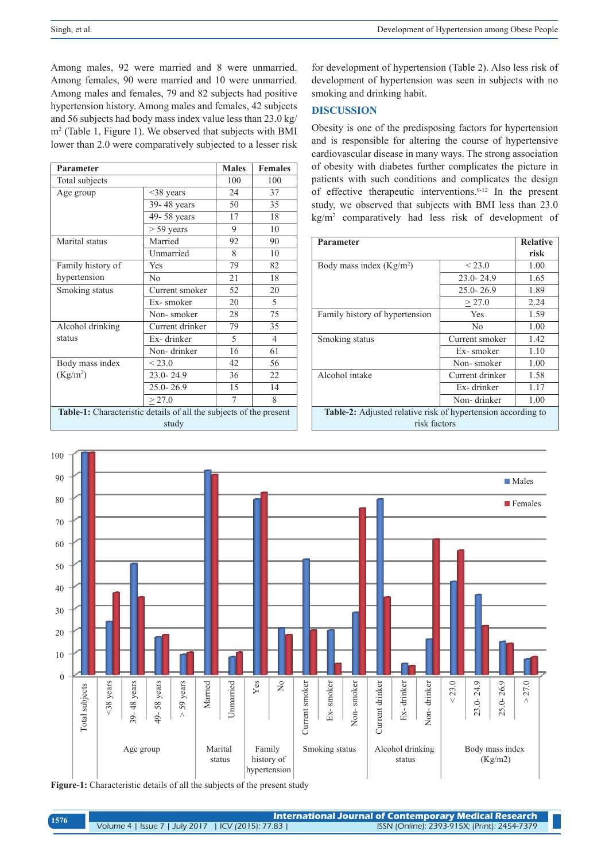Among males, 92 were married and 8 were unmarried. Among females, 90 were married and 10 were unmarried. Among males and females, 79 and 82 subjects had positive hypertension history. Among males and females, 42 subjects and 56 subjects had body mass index value less than 23.0 kg/ m2 (Table 1, Figure 1). We observed that subjects with BMI lower than 2.0 were comparatively subjected to a lesser risk

| Parameter                                                                   |                 | <b>Males</b> | <b>Females</b> |  |
|-----------------------------------------------------------------------------|-----------------|--------------|----------------|--|
| Total subjects                                                              |                 | 100          | 100            |  |
| Age group                                                                   | $\leq$ 38 years | 24           | 37             |  |
|                                                                             | 39-48 years     | 50           | 35             |  |
|                                                                             | 49-58 years     | 17           | 18             |  |
|                                                                             | $> 59$ years    | 9            | 10             |  |
| Marital status                                                              | Married         | 92           | 90             |  |
|                                                                             | Unmarried       | 8            | 10             |  |
| Family history of                                                           | <b>Yes</b>      | 79           | 82             |  |
| hypertension                                                                | No              | 21           | 18             |  |
| Smoking status                                                              | Current smoker  | 52           | 20             |  |
|                                                                             | Ex-smoker       | 20           | 5              |  |
|                                                                             | Non-smoker      | 28           | 75             |  |
| Alcohol drinking                                                            | Current drinker | 79           | 35             |  |
| status                                                                      | Ex-drinker      | 5            | $\overline{4}$ |  |
|                                                                             | Non-drinker     | 16           | 61             |  |
| Body mass index                                                             | ${}_{23.0}$     | 42           | 56             |  |
| (Kg/m <sup>2</sup> )                                                        | $23.0 - 24.9$   | 36           | 22             |  |
|                                                                             | 25.0-26.9       | 15           | 14             |  |
|                                                                             | > 27.0          | 7            | 8              |  |
| Table-1: Characteristic details of all the subjects of the present<br>study |                 |              |                |  |

for development of hypertension (Table 2). Also less risk of development of hypertension was seen in subjects with no smoking and drinking habit.

# **DISCUSSION**

Obesity is one of the predisposing factors for hypertension and is responsible for altering the course of hypertensive cardiovascular disease in many ways. The strong association of obesity with diabetes further complicates the picture in patients with such conditions and complicates the design of effective therapeutic interventions.9-12 In the present study, we observed that subjects with BMI less than 23.0 kg/m2 comparatively had less risk of development of

| <b>Parameter</b>                                                             | <b>Relative</b> |      |  |
|------------------------------------------------------------------------------|-----------------|------|--|
|                                                                              |                 | risk |  |
| Body mass index $(Kg/m2)$                                                    | < 23.0          | 1.00 |  |
|                                                                              | $23.0 - 24.9$   | 1.65 |  |
|                                                                              | $25.0 - 26.9$   | 1.89 |  |
|                                                                              | > 27.0          | 2.24 |  |
| Family history of hypertension                                               | <b>Yes</b>      | 1.59 |  |
|                                                                              | N <sub>0</sub>  | 1.00 |  |
| Smoking status                                                               | Current smoker  | 1.42 |  |
|                                                                              | Ex-smoker       | 1.10 |  |
|                                                                              | Non-smoker      | 1.00 |  |
| Alcohol intake                                                               | Current drinker | 1.58 |  |
|                                                                              | Ex-drinker      | 1.17 |  |
|                                                                              | Non-drinker     | 1.00 |  |
| Table-2: Adjusted relative risk of hypertension according to<br>risk factors |                 |      |  |



**Figure-1:** Characteristic details of all the subjects of the present study